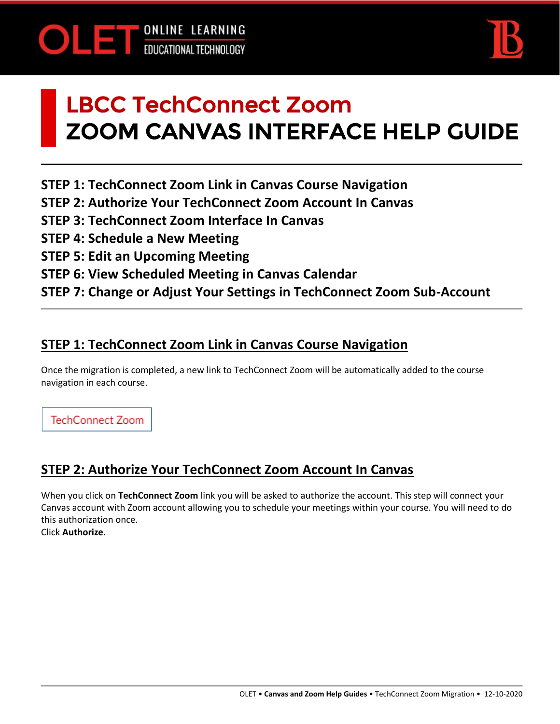



# LBCC TechConnect Zoom ZOOM CANVAS INTERFACE HELP GUIDE

**STEP 1: TechConnect Zoom Link in Canvas Course Navigation**

- **STEP 2: Authorize Your TechConnect Zoom Account In Canvas**
- **STEP 3: TechConnect Zoom Interface In Canvas**
- **STEP 4: Schedule a New Meeting**
- **STEP 5: Edit an Upcoming Meeting**
- **STEP 6: View Scheduled Meeting in Canvas Calendar**
- **STEP 7: Change or Adjust Your Settings in TechConnect Zoom Sub-Account**

#### **STEP 1: TechConnect Zoom Link in Canvas Course Navigation**

Once the migration is completed, a new link to TechConnect Zoom will be automatically added to the course navigation in each course.

**TechConnect Zoom** 

# **STEP 2: Authorize Your TechConnect Zoom Account In Canvas**

When you click on **TechConnect Zoom** link you will be asked to authorize the account. This step will connect your Canvas account with Zoom account allowing you to schedule your meetings within your course. You will need to do this authorization once. Click **Authorize**.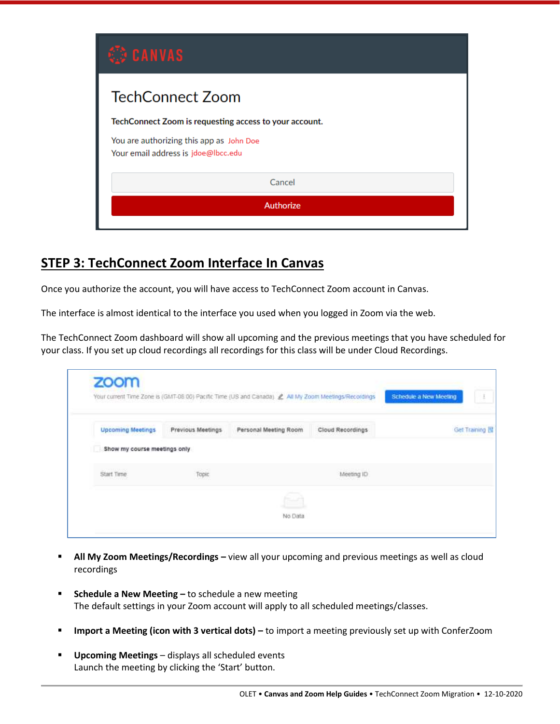| <b>CANVAS</b>                                                                   |  |  |  |  |  |
|---------------------------------------------------------------------------------|--|--|--|--|--|
| <b>TechConnect Zoom</b>                                                         |  |  |  |  |  |
| TechConnect Zoom is requesting access to your account.                          |  |  |  |  |  |
| You are authorizing this app as John Doe<br>Your email address is jdoe@lbcc.edu |  |  |  |  |  |
| Cancel                                                                          |  |  |  |  |  |
| <b>Authorize</b>                                                                |  |  |  |  |  |

#### **STEP 3: TechConnect Zoom Interface In Canvas**

Once you authorize the account, you will have access to TechConnect Zoom account in Canvas.

The interface is almost identical to the interface you used when you logged in Zoom via the web.

The TechConnect Zoom dashboard will show all upcoming and the previous meetings that you have scheduled for your class. If you set up cloud recordings all recordings for this class will be under Cloud Recordings.

| <b>Upcoming Meetings</b>     | Previous Meetings | Personal Meeting Room | Cloud Recordings | Get Training 图 |
|------------------------------|-------------------|-----------------------|------------------|----------------|
| Show my course meetings only |                   |                       |                  |                |
| Start Time                   | Topic             |                       | Meeting ID       |                |

- **All My Zoom Meetings/Recordings –** view all your upcoming and previous meetings as well as cloud recordings
- **EXEDENT Schedule a New Meeting -** to schedule a new meeting The default settings in your Zoom account will apply to all scheduled meetings/classes.
- **Import a Meeting (icon with 3 vertical dots) to import a meeting previously set up with ConferZoom**
- Upcoming Meetings displays all scheduled events Launch the meeting by clicking the 'Start' button.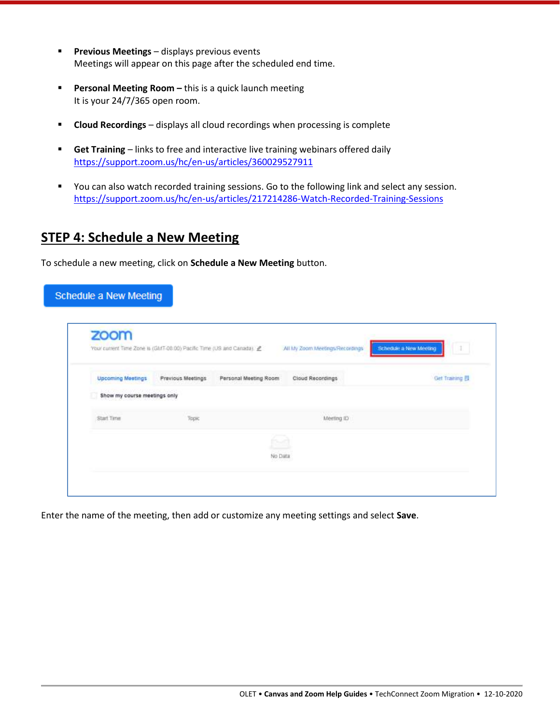- **Previous Meetings**  displays previous events Meetings will appear on this page after the scheduled end time.
- **Personal Meeting Room –** this is a quick launch meeting It is your 24/7/365 open room.
- **EXPLOUD Recordings** displays all cloud recordings when processing is complete
- **E** Get Training links to free and interactive live training webinars offered daily <https://support.zoom.us/hc/en-us/articles/360029527911>
- You can also watch recorded training sessions. Go to the following link and select any session. <https://support.zoom.us/hc/en-us/articles/217214286-Watch-Recorded-Training-Sessions>

#### **STEP 4: Schedule a New Meeting**

To schedule a new meeting, click on **Schedule a New Meeting** button.

| zoom                                                                  |                   |                       |                                 |                             |
|-----------------------------------------------------------------------|-------------------|-----------------------|---------------------------------|-----------------------------|
| Your current Time Zone is (GMT-08:00) Pacific Time (US and Canada). L |                   |                       | All My Zoom Meetings/Recordings | Schedule a New Meeting<br>I |
| <b>Upcoming Meetings</b>                                              | Previous Meetings | Personal Meeting Room | Cloud Recordings                | Get Training 图              |
| Show my course meetings only                                          |                   |                       |                                 |                             |
| Start Time                                                            | Таркс             |                       | Meeting ID                      |                             |
|                                                                       |                   |                       |                                 |                             |
|                                                                       |                   | No Data               |                                 |                             |

Enter the name of the meeting, then add or customize any meeting settings and select **Save**.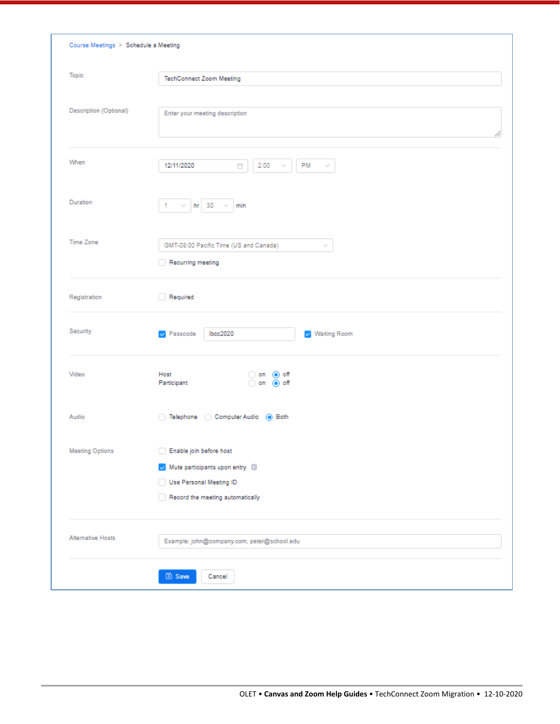|                          | Course Meetings > Schedule a Meeting                                                                                                                        |  |  |  |  |  |
|--------------------------|-------------------------------------------------------------------------------------------------------------------------------------------------------------|--|--|--|--|--|
| Topic                    | <b>TechConnect Zoom Meeting</b>                                                                                                                             |  |  |  |  |  |
| Description (Optional)   | Enter your meeting description                                                                                                                              |  |  |  |  |  |
| When                     | 12/11/2020<br>2:00<br>PM<br>Ö<br>v                                                                                                                          |  |  |  |  |  |
| Duration                 | $hr = 30$<br>1<br>v<br>min<br>v                                                                                                                             |  |  |  |  |  |
| <b>Time Zone</b>         | GMT-08:00 Pacific Time (US and Canada)<br>v<br>Recurring meeting                                                                                            |  |  |  |  |  |
| Registration             | Required                                                                                                                                                    |  |  |  |  |  |
| Security                 | Passcode<br>lbcc2020<br>$\vee$ Waiting Room                                                                                                                 |  |  |  |  |  |
| Video                    | Host<br>() off<br>on<br>Participant<br>on ◉ off                                                                                                             |  |  |  |  |  |
| Audio                    | ◯ Telephone (Computer Audio (@ Both                                                                                                                         |  |  |  |  |  |
| <b>Meeting Options</b>   | Enable join before host<br>Mute participants upon entry <sup>13</sup><br>$\mathbf{v}$<br>Use Personal Meeting ID<br>Record the meeting automatically<br>- 1 |  |  |  |  |  |
| <b>Alternative Hosts</b> | Example: john@company.com, peter@school.edu                                                                                                                 |  |  |  |  |  |
|                          | 图 Save<br>Cancel                                                                                                                                            |  |  |  |  |  |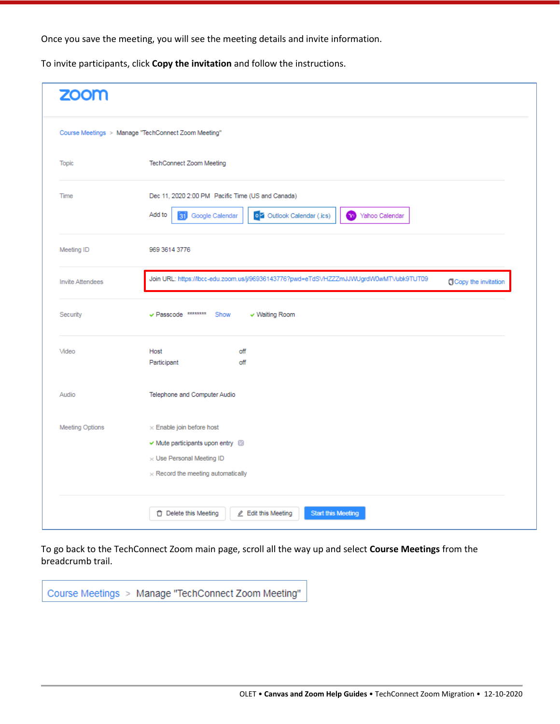Once you save the meeting, you will see the meeting details and invite information.

To invite participants, click **Copy the invitation** and follow the instructions.

|                         | Course Meetings > Manage "TechConnect Zoom Meeting"                                                                                                  |  |  |  |
|-------------------------|------------------------------------------------------------------------------------------------------------------------------------------------------|--|--|--|
| <b>Topic</b>            | TechConnect Zoom Meeting                                                                                                                             |  |  |  |
| Time                    | Dec 11, 2020 2:00 PM Pacific Time (US and Canada)<br>Add to<br>o Z Outlook Calendar (.ics)<br>31 Google Calendar<br>$\mathbf{r}_0$<br>Yahoo Calendar |  |  |  |
| Meeting ID              | 969 3614 3776                                                                                                                                        |  |  |  |
| <b>Invite Attendees</b> | Join URL: https://lbcc-edu.zoom.us/j/96936143776?pwd=eTdSVHZZZmJJVVUgrdW0wMTVubk9TUT09<br><b>O</b> Copy the invitation                               |  |  |  |
| Security                | ✔ Passcode ********<br>Show<br>v Waiting Room                                                                                                        |  |  |  |
| Video                   | off<br>Host                                                                                                                                          |  |  |  |
|                         | Participant<br>off                                                                                                                                   |  |  |  |
| Audio                   | Telephone and Computer Audio                                                                                                                         |  |  |  |

To go back to the TechConnect Zoom main page, scroll all the way up and select **Course Meetings** from the breadcrumb trail.

Course Meetings > Manage "TechConnect Zoom Meeting"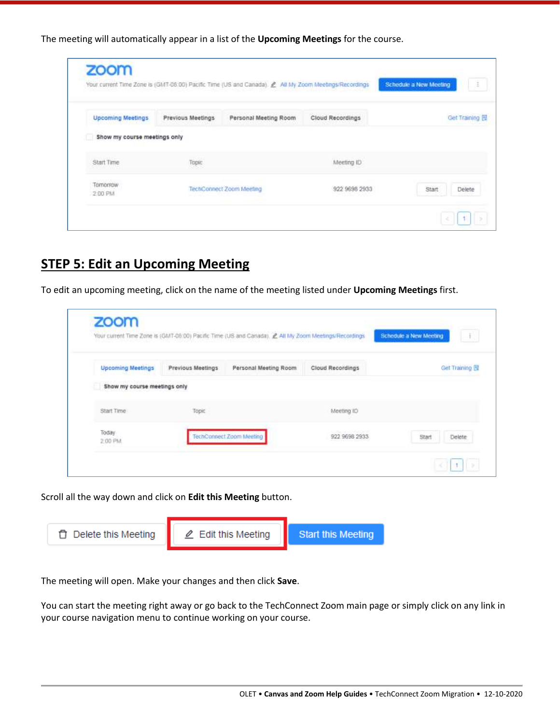The meeting will automatically appear in a list of the **Upcoming Meetings** for the course.

| <b>Upcoming Meetings</b>     | Previous Meetings | Personal Meeting Room    | Cloud Recordings | Get Training    |
|------------------------------|-------------------|--------------------------|------------------|-----------------|
| Show my course meetings only |                   |                          |                  |                 |
| Start Time                   | TODIC             |                          | Meeting ID       |                 |
| Tomorrow<br>2:00 PM          |                   | TechConnect Zoom Meeting | 922 9698 2933    | Start<br>Delete |

#### **STEP 5: Edit an Upcoming Meeting**

To edit an upcoming meeting, click on the name of the meeting listed under **Upcoming Meetings** first.

|                              |                   |                          |                                  | $\pm$                  |
|------------------------------|-------------------|--------------------------|----------------------------------|------------------------|
| <b>Upcoming Meetings</b>     | Previous Meetings | Personal Meeting Room    | Cloud Recordings                 | Get Training 图         |
| Show my course meetings only |                   |                          |                                  |                        |
| Start Time                   | Topic             |                          | Meeting ID                       |                        |
| Today<br>2:00 PM             |                   | TechConnect Zoom Meeting | -1264-1273-2020<br>922 9698 2933 | <b>Delete</b><br>Start |

Scroll all the way down and click on **Edit this Meeting** button.

| □ Delete this Meeting | $\angle$ Edit this Meeting | <b>Start this Meeting</b> |
|-----------------------|----------------------------|---------------------------|

The meeting will open. Make your changes and then click **Save**.

You can start the meeting right away or go back to the TechConnect Zoom main page or simply click on any link in your course navigation menu to continue working on your course.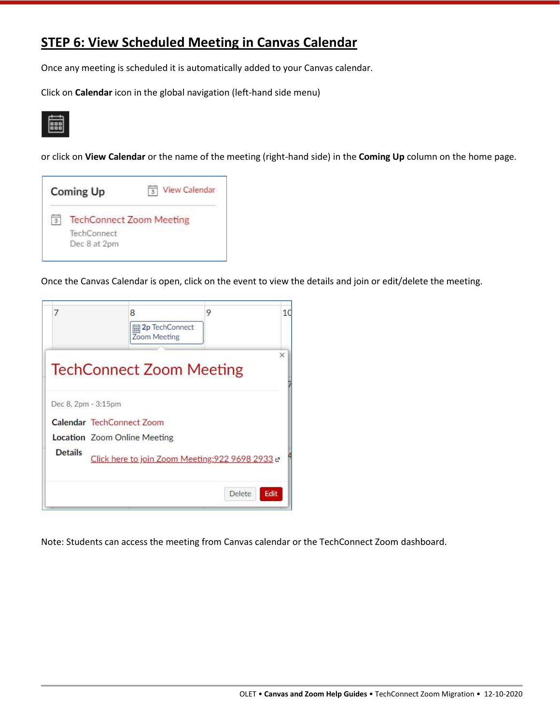### **STEP 6: View Scheduled Meeting in Canvas Calendar**

Once any meeting is scheduled it is automatically added to your Canvas calendar.

Click on **Calendar** icon in the global navigation (left-hand side menu)



or click on **View Calendar** or the name of the meeting (right-hand side) in the **Coming Up** column on the home page.

| Coming Up                       | View Calendar |  |  |
|---------------------------------|---------------|--|--|
| <b>TechConnect Zoom Meeting</b> |               |  |  |
| TechConnect<br>Dec 8 at 2pm     |               |  |  |

Once the Canvas Calendar is open, click on the event to view the details and join or edit/delete the meeting.

| 7                   | 8<br>m 2p TechConnect<br>Zoom Meeting            | 9      | 1 <sup>1</sup> |
|---------------------|--------------------------------------------------|--------|----------------|
|                     | <b>TechConnect Zoom Meeting</b>                  |        | ×              |
| Dec 8, 2pm - 3:15pm | Calendar TechConnect Zoom                        |        |                |
|                     | <b>Location</b> Zoom Online Meeting              |        |                |
| <b>Details</b>      | Click here to join Zoom Meeting: 922 9698 2933 c |        |                |
|                     |                                                  | Delete | Edit           |

Note: Students can access the meeting from Canvas calendar or the TechConnect Zoom dashboard.